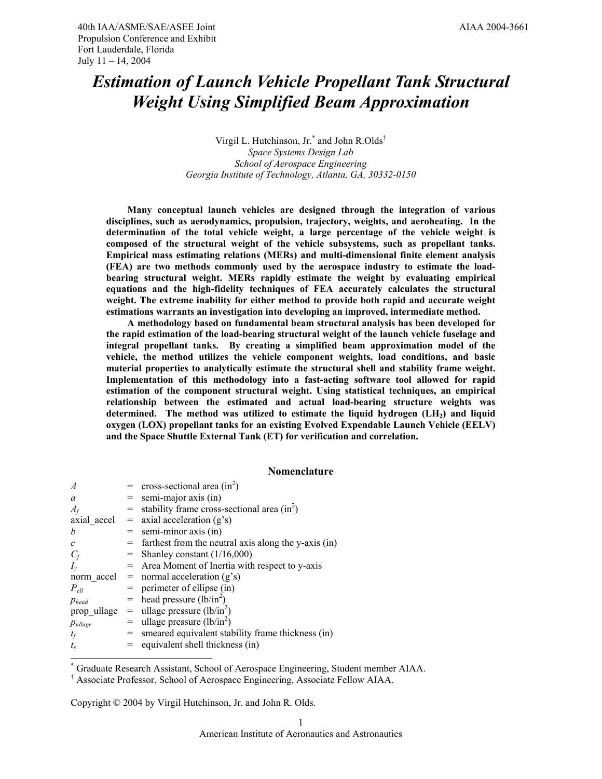# *Estimation of Launch Vehicle Propellant Tank Structural Weight Using Simplified Beam Approximation*

Virgil L. Hutchinson, Jr.<sup>\*</sup> and John R.Olds<sup>†</sup> *Space Systems Design Lab School of Aerospace Engineering Georgia Institute of Technology, Atlanta, GA, 30332-0150* 

 **Many conceptual launch vehicles are designed through the integration of various disciplines, such as aerodynamics, propulsion, trajectory, weights, and aeroheating. In the determination of the total vehicle weight, a large percentage of the vehicle weight is composed of the structural weight of the vehicle subsystems, such as propellant tanks. Empirical mass estimating relations (MERs) and multi-dimensional finite element analysis (FEA) are two methods commonly used by the aerospace industry to estimate the loadbearing structural weight. MERs rapidly estimate the weight by evaluating empirical equations and the high-fidelity techniques of FEA accurately calculates the structural weight. The extreme inability for either method to provide both rapid and accurate weight estimations warrants an investigation into developing an improved, intermediate method.** 

 **A methodology based on fundamental beam structural analysis has been developed for the rapid estimation of the load-bearing structural weight of the launch vehicle fuselage and integral propellant tanks. By creating a simplified beam approximation model of the vehicle, the method utilizes the vehicle component weights, load conditions, and basic material properties to analytically estimate the structural shell and stability frame weight. Implementation of this methodology into a fast-acting software tool allowed for rapid estimation of the component structural weight. Using statistical techniques, an empirical relationship between the estimated and actual load-bearing structure weights was**  determined. The method was utilized to estimate the liquid hydrogen (LH<sub>2</sub>) and liquid **oxygen (LOX) propellant tanks for an existing Evolved Expendable Launch Vehicle (EELV) and the Space Shuttle External Tank (ET) for verification and correlation.** 

## **Nomenclature**

| $\boldsymbol{A}$ |     | cross-sectional area $(in^2)$                        |
|------------------|-----|------------------------------------------------------|
| $\mathfrak a$    |     | $=$ semi-major axis (in)                             |
| $A_f$            | $=$ | stability frame cross-sectional area $(in^2)$        |
| axial accel      |     | $=$ axial acceleration (g's)                         |
| b                | $=$ | semi-minor axis (in)                                 |
| $\mathcal C$     | $=$ | farthest from the neutral axis along the y-axis (in) |
| $C_f$            | $=$ | Shanley constant $(1/16,000)$                        |
| $I_{\nu}$        |     | $=$ Area Moment of Inertia with respect to y-axis    |
|                  |     | norm accel = normal acceleration $(g's)$             |
| $P_{ell}$        | $=$ | perimeter of ellipse (in)                            |
| $p_{head}$       |     | $=$ head pressure (lb/in <sup>2</sup> )              |
| prop ullage      |     | $=$ ullage pressure (lb/in <sup>2</sup> )            |
| $p_{ullage}$     | $=$ | ullage pressure $(lb/in^2)$                          |
| $t_f$            | $=$ | smeared equivalent stability frame thickness (in)    |
| $t_{\rm s}$      |     | $=$ equivalent shell thickness (in)                  |

\* Graduate Research Assistant, School of Aerospace Engineering, Student member AIAA.

† Associate Professor, School of Aerospace Engineering, Associate Fellow AIAA.

Copyright © 2004 by Virgil Hutchinson, Jr. and John R. Olds.

 $\overline{a}$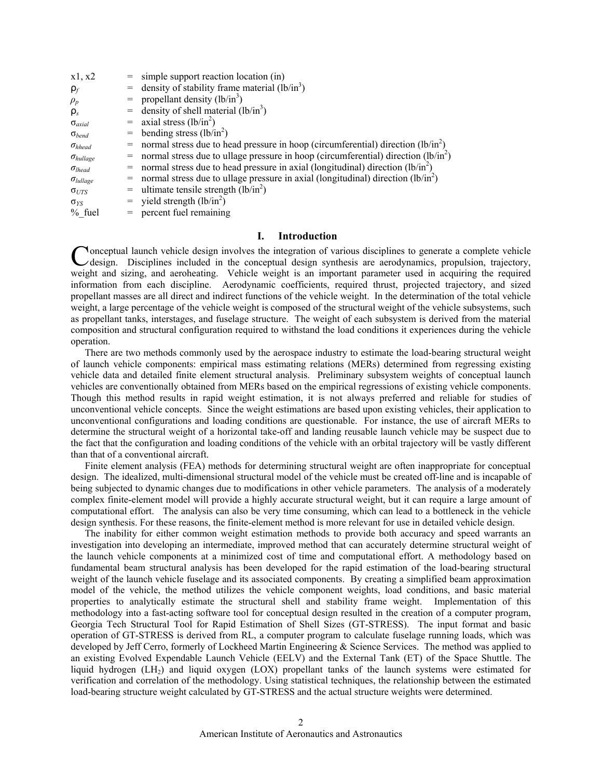| x1, x2                  |     | $=$ simple support reaction location (in)                                                        |
|-------------------------|-----|--------------------------------------------------------------------------------------------------|
| $\rho_f$                |     | $=$ density of stability frame material (lb/in <sup>3</sup> )                                    |
| $\rho_p$                | $=$ | propellant density $(lb/in^3)$                                                                   |
| $\rho_s$                |     | $=$ density of shell material (lb/in <sup>3</sup> )                                              |
| $\sigma_{axial}$        |     | $=$ axial stress (lb/in <sup>2</sup> )                                                           |
| $\sigma_{bend}$         |     | $=$ bending stress (lb/in <sup>2</sup> )                                                         |
| $\sigma_{hhead}$        |     | $=$ normal stress due to head pressure in hoop (circumferential) direction (lb/in <sup>2</sup> ) |
| $\sigma_{hullage}$      | $=$ | normal stress due to ullage pressure in hoop (circumferential) direction $(lb/in^2)$             |
| $\sigma_{\text{lhead}}$ |     | $=$ normal stress due to head pressure in axial (longitudinal) direction (lb/in <sup>2</sup> )   |
| $\sigma_{lullage}$      |     | $=$ normal stress due to ullage pressure in axial (longitudinal) direction (lb/in <sup>2</sup> ) |
| $\sigma_{UTS}$          |     | $=$ ultimate tensile strength (lb/in <sup>2</sup> )                                              |
| $\sigma_{YS}$           |     | $=$ yield strength (lb/in <sup>2</sup> )                                                         |
| $%$ fuel                |     | $=$ percent fuel remaining                                                                       |
|                         |     |                                                                                                  |

# **I. Introduction**

**Nonceptual launch vehicle design involves the integration of various disciplines to generate a complete vehicle** Conceptual launch vehicle design involves the integration of various disciplines to generate a complete vehicle design. Disciplines included in the conceptual design synthesis are aerodynamics, propulsion, trajectory, weight and sizing, and aeroheating. Vehicle weight is an important parameter used in acquiring the required information from each discipline. Aerodynamic coefficients, required thrust, projected trajectory, and sized propellant masses are all direct and indirect functions of the vehicle weight. In the determination of the total vehicle weight, a large percentage of the vehicle weight is composed of the structural weight of the vehicle subsystems, such as propellant tanks, interstages, and fuselage structure. The weight of each subsystem is derived from the material composition and structural configuration required to withstand the load conditions it experiences during the vehicle operation.

There are two methods commonly used by the aerospace industry to estimate the load-bearing structural weight of launch vehicle components: empirical mass estimating relations (MERs) determined from regressing existing vehicle data and detailed finite element structural analysis. Preliminary subsystem weights of conceptual launch vehicles are conventionally obtained from MERs based on the empirical regressions of existing vehicle components. Though this method results in rapid weight estimation, it is not always preferred and reliable for studies of unconventional vehicle concepts. Since the weight estimations are based upon existing vehicles, their application to unconventional configurations and loading conditions are questionable. For instance, the use of aircraft MERs to determine the structural weight of a horizontal take-off and landing reusable launch vehicle may be suspect due to the fact that the configuration and loading conditions of the vehicle with an orbital trajectory will be vastly different than that of a conventional aircraft.

Finite element analysis (FEA) methods for determining structural weight are often inappropriate for conceptual design. The idealized, multi-dimensional structural model of the vehicle must be created off-line and is incapable of being subjected to dynamic changes due to modifications in other vehicle parameters. The analysis of a moderately complex finite-element model will provide a highly accurate structural weight, but it can require a large amount of computational effort. The analysis can also be very time consuming, which can lead to a bottleneck in the vehicle design synthesis. For these reasons, the finite-element method is more relevant for use in detailed vehicle design.

 The inability for either common weight estimation methods to provide both accuracy and speed warrants an investigation into developing an intermediate, improved method that can accurately determine structural weight of the launch vehicle components at a minimized cost of time and computational effort. A methodology based on fundamental beam structural analysis has been developed for the rapid estimation of the load-bearing structural weight of the launch vehicle fuselage and its associated components. By creating a simplified beam approximation model of the vehicle, the method utilizes the vehicle component weights, load conditions, and basic material properties to analytically estimate the structural shell and stability frame weight. Implementation of this methodology into a fast-acting software tool for conceptual design resulted in the creation of a computer program, Georgia Tech Structural Tool for Rapid Estimation of Shell Sizes (GT-STRESS). The input format and basic operation of GT-STRESS is derived from RL, a computer program to calculate fuselage running loads, which was developed by Jeff Cerro, formerly of Lockheed Martin Engineering & Science Services. The method was applied to an existing Evolved Expendable Launch Vehicle (EELV) and the External Tank (ET) of the Space Shuttle. The liquid hydrogen (LH2) and liquid oxygen (LOX) propellant tanks of the launch systems were estimated for verification and correlation of the methodology. Using statistical techniques, the relationship between the estimated load-bearing structure weight calculated by GT-STRESS and the actual structure weights were determined.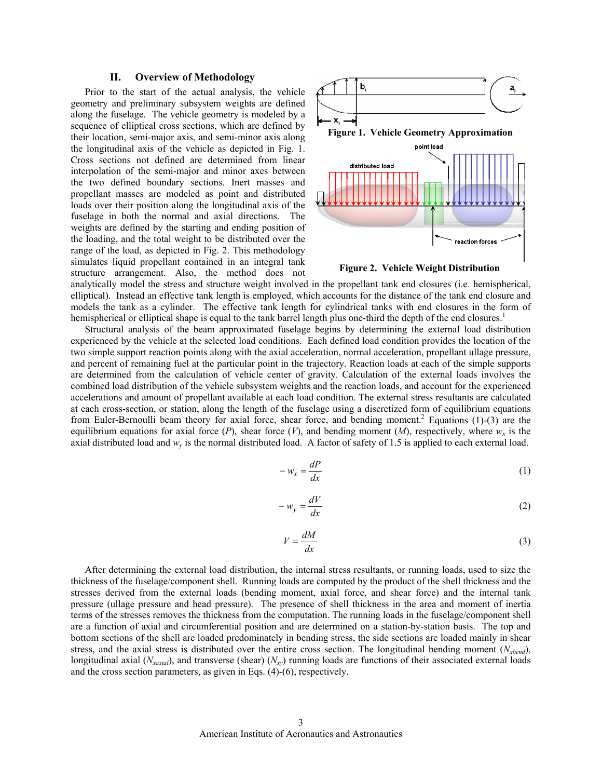#### **II. Overview of Methodology**

Prior to the start of the actual analysis, the vehicle geometry and preliminary subsystem weights are defined along the fuselage. The vehicle geometry is modeled by a sequence of elliptical cross sections, which are defined by their location, semi-major axis, and semi-minor axis along the longitudinal axis of the vehicle as depicted in Fig. 1. Cross sections not defined are determined from linear interpolation of the semi-major and minor axes between the two defined boundary sections. Inert masses and propellant masses are modeled as point and distributed loads over their position along the longitudinal axis of the fuselage in both the normal and axial directions. The weights are defined by the starting and ending position of the loading, and the total weight to be distributed over the range of the load, as depicted in Fig. 2. This methodology simulates liquid propellant contained in an integral tank structure arrangement. Also, the method does not



**Figure 2. Vehicle Weight Distribution** 

analytically model the stress and structure weight involved in the propellant tank end closures (i.e. hemispherical, elliptical). Instead an effective tank length is employed, which accounts for the distance of the tank end closure and models the tank as a cylinder. The effective tank length for cylindrical tanks with end closures in the form of hemispherical or elliptical shape is equal to the tank barrel length plus one-third the depth of the end closures.<sup>1</sup>

Structural analysis of the beam approximated fuselage begins by determining the external load distribution experienced by the vehicle at the selected load conditions. Each defined load condition provides the location of the two simple support reaction points along with the axial acceleration, normal acceleration, propellant ullage pressure, and percent of remaining fuel at the particular point in the trajectory. Reaction loads at each of the simple supports are determined from the calculation of vehicle center of gravity. Calculation of the external loads involves the combined load distribution of the vehicle subsystem weights and the reaction loads, and account for the experienced accelerations and amount of propellant available at each load condition. The external stress resultants are calculated at each cross-section, or station, along the length of the fuselage using a discretized form of equilibrium equations from Euler-Bernoulli beam theory for axial force, shear force, and bending moment.<sup>2</sup> Equations (1)-(3) are the equilibrium equations for axial force  $(P)$ , shear force  $(V)$ , and bending moment  $(M)$ , respectively, where  $w_x$  is the axial distributed load and  $w<sub>v</sub>$  is the normal distributed load. A factor of safety of 1.5 is applied to each external load.

$$
-w_x = \frac{dP}{dx} \tag{1}
$$

$$
-w_y = \frac{dV}{dx} \tag{2}
$$

$$
V = \frac{dM}{dx} \tag{3}
$$

After determining the external load distribution, the internal stress resultants, or running loads, used to size the thickness of the fuselage/component shell. Running loads are computed by the product of the shell thickness and the stresses derived from the external loads (bending moment, axial force, and shear force) and the internal tank pressure (ullage pressure and head pressure). The presence of shell thickness in the area and moment of inertia terms of the stresses removes the thickness from the computation. The running loads in the fuselage/component shell are a function of axial and circumferential position and are determined on a station-by-station basis. The top and bottom sections of the shell are loaded predominately in bending stress, the side sections are loaded mainly in shear stress, and the axial stress is distributed over the entire cross section. The longitudinal bending moment  $(N_{\text{when}})$ , longitudinal axial (*N<sub>xaxial</sub>*), and transverse (shear) (*N<sub>xy</sub>*) running loads are functions of their associated external loads and the cross section parameters, as given in Eqs. (4)-(6), respectively.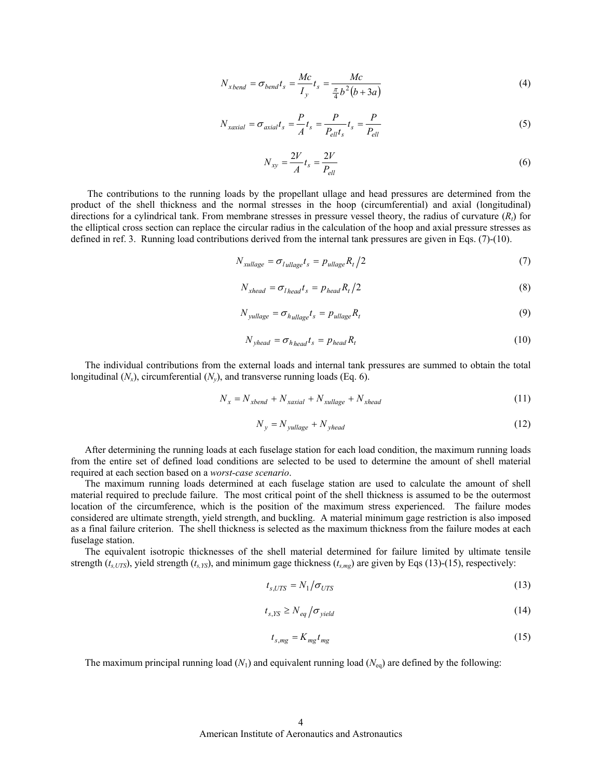$$
N_{\mathit{xbend}} = \sigma_{\mathit{bend}} t_s = \frac{Mc}{I_y} t_s = \frac{Mc}{\frac{\pi}{4} b^2 (b + 3a)}
$$
(4)

$$
N_{\text{axial}} = \sigma_{\text{axial}} t_s = \frac{P}{A} t_s = \frac{P}{P_{\text{ell}} t_s} t_s = \frac{P}{P_{\text{ell}}}
$$
(5)

$$
N_{xy} = \frac{2V}{A}t_s = \frac{2V}{P_{ell}}\tag{6}
$$

 The contributions to the running loads by the propellant ullage and head pressures are determined from the product of the shell thickness and the normal stresses in the hoop (circumferential) and axial (longitudinal) directions for a cylindrical tank. From membrane stresses in pressure vessel theory, the radius of curvature  $(R<sub>t</sub>)$  for the elliptical cross section can replace the circular radius in the calculation of the hoop and axial pressure stresses as defined in ref. 3. Running load contributions derived from the internal tank pressures are given in Eqs. (7)-(10).

$$
N_{xullage} = \sigma_{lullage} t_s = p_{ullage} R_t / 2 \tag{7}
$$

$$
N_{\text{xhead}} = \sigma_{l \text{head}} t_s = p_{\text{head}} R_t / 2 \tag{8}
$$

$$
N_{\text{yullage}} = \sigma_{\text{hullage}} t_s = p_{\text{ulage}} R_t \tag{9}
$$

$$
N_{\text{yhead}} = \sigma_{\text{hhead}} t_s = p_{\text{head}} R_t \tag{10}
$$

The individual contributions from the external loads and internal tank pressures are summed to obtain the total longitudinal  $(N_x)$ , circumferential  $(N_y)$ , and transverse running loads (Eq. 6).

$$
N_x = N_{\text{xbend}} + N_{\text{xaxial}} + N_{\text{xullage}} + N_{\text{xhead}}
$$
\n(11)

$$
N_y = N_{yullage} + N_{yhead} \tag{12}
$$

After determining the running loads at each fuselage station for each load condition, the maximum running loads from the entire set of defined load conditions are selected to be used to determine the amount of shell material required at each section based on a *worst-case scenario*.

The maximum running loads determined at each fuselage station are used to calculate the amount of shell material required to preclude failure. The most critical point of the shell thickness is assumed to be the outermost location of the circumference, which is the position of the maximum stress experienced. The failure modes considered are ultimate strength, yield strength, and buckling. A material minimum gage restriction is also imposed as a final failure criterion. The shell thickness is selected as the maximum thickness from the failure modes at each fuselage station.

The equivalent isotropic thicknesses of the shell material determined for failure limited by ultimate tensile strength ( $t_{s,UTS}$ ), yield strength ( $t_{s,YS}$ ), and minimum gage thickness ( $t_{s,mg}$ ) are given by Eqs (13)-(15), respectively:

$$
t_{s,UTS} = N_1 / \sigma_{UTS} \tag{13}
$$

$$
t_{s,YS} \ge N_{eq} / \sigma_{yield} \tag{14}
$$

$$
t_{s,mg} = K_{mg} t_{mg} \tag{15}
$$

The maximum principal running load  $(N_1)$  and equivalent running load  $(N_{eq})$  are defined by the following: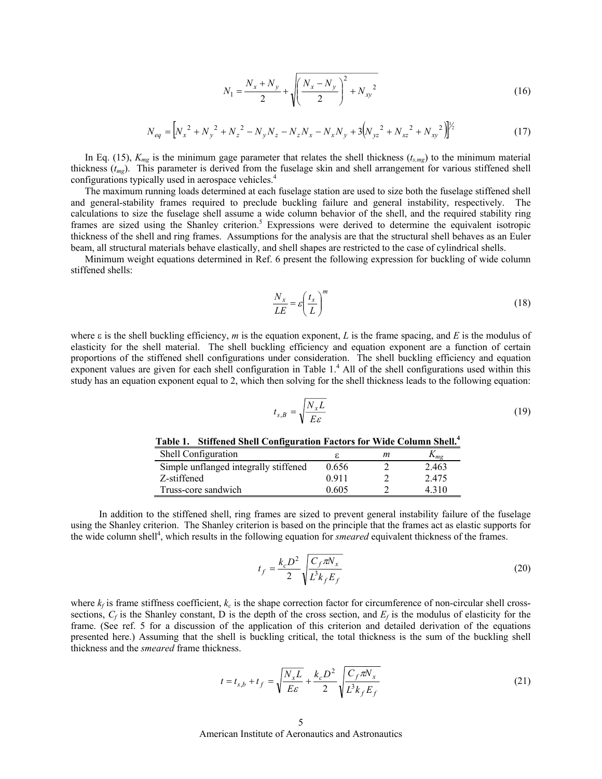$$
N_1 = \frac{N_x + N_y}{2} + \sqrt{\left(\frac{N_x - N_y}{2}\right)^2 + N_{xy}^2}
$$
 (16)

$$
N_{eq} = \left[ N_x^2 + N_y^2 + N_z^2 - N_y N_z - N_z N_x - N_x N_y + 3(N_{yz}^2 + N_{xz}^2 + N_{xy}^2) \right]^{1/2}
$$
 (17)

In Eq. (15),  $K_{mg}$  is the minimum gage parameter that relates the shell thickness  $(t_{s,mg})$  to the minimum material thickness (*tmg*). This parameter is derived from the fuselage skin and shell arrangement for various stiffened shell configurations typically used in aerospace vehicles.4

The maximum running loads determined at each fuselage station are used to size both the fuselage stiffened shell and general-stability frames required to preclude buckling failure and general instability, respectively. The calculations to size the fuselage shell assume a wide column behavior of the shell, and the required stability ring frames are sized using the Shanley criterion.<sup>5</sup> Expressions were derived to determine the equivalent isotropic thickness of the shell and ring frames. Assumptions for the analysis are that the structural shell behaves as an Euler beam, all structural materials behave elastically, and shell shapes are restricted to the case of cylindrical shells.

Minimum weight equations determined in Ref. 6 present the following expression for buckling of wide column stiffened shells:

$$
\frac{N_x}{LE} = \varepsilon \left(\frac{t_s}{L}\right)^m \tag{18}
$$

where ε is the shell buckling efficiency, *m* is the equation exponent, *L* is the frame spacing, and *E* is the modulus of elasticity for the shell material. The shell buckling efficiency and equation exponent are a function of certain proportions of the stiffened shell configurations under consideration. The shell buckling efficiency and equation exponent values are given for each shell configuration in Table 1.<sup>4</sup> All of the shell configurations used within this study has an equation exponent equal to 2, which then solving for the shell thickness leads to the following equation:

$$
t_{s,B} = \sqrt{\frac{N_x L}{E \varepsilon}}
$$
 (19)

## **Table 1. Stiffened Shell Configuration Factors for Wide Column Shell.4**

| Shell Configuration                   |         | т | $\mathbf{v}_{mg}$ |
|---------------------------------------|---------|---|-------------------|
| Simple unflanged integrally stiffened | 0.656   |   | 2.463             |
| Z-stiffened                           | 0 9 1 1 |   | 2.475             |
| Truss-core sandwich                   | 0.605   |   | 4 3 1 0           |

 In addition to the stiffened shell, ring frames are sized to prevent general instability failure of the fuselage using the Shanley criterion. The Shanley criterion is based on the principle that the frames act as elastic supports for the wide column shell<sup>4</sup>, which results in the following equation for *smeared* equivalent thickness of the frames.

$$
t_f = \frac{k_c D^2}{2} \sqrt{\frac{C_f \pi N_x}{L^3 k_f E_f}}
$$
 (20)

where  $k_f$  is frame stiffness coefficient,  $k_c$  is the shape correction factor for circumference of non-circular shell crosssections,  $C_f$  is the Shanley constant, D is the depth of the cross section, and  $E_f$  is the modulus of elasticity for the frame. (See ref. 5 for a discussion of the application of this criterion and detailed derivation of the equations presented here.) Assuming that the shell is buckling critical, the total thickness is the sum of the buckling shell thickness and the *smeared* frame thickness.

$$
t = t_{s,b} + t_f = \sqrt{\frac{N_x L}{E\varepsilon}} + \frac{k_c D^2}{2} \sqrt{\frac{C_f \pi N_x}{L^3 k_f E_f}}
$$
(21)

American Institute of Aeronautics and Astronautics 5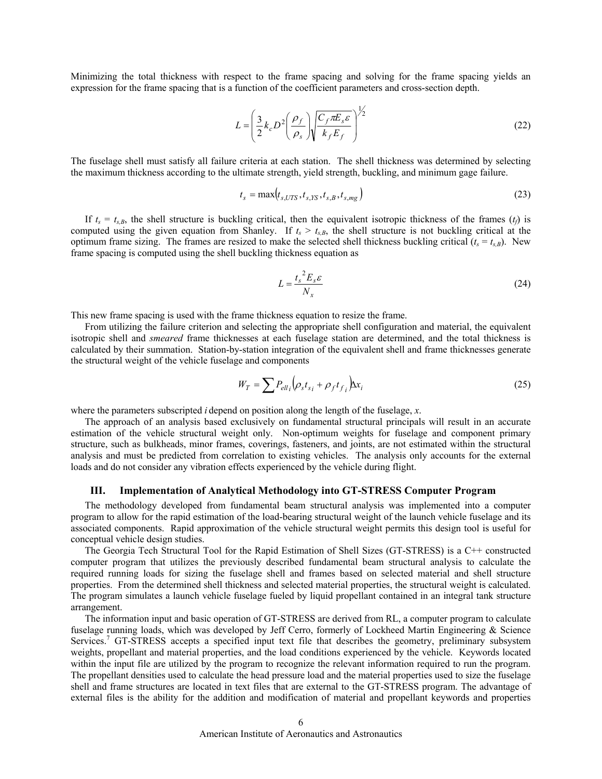Minimizing the total thickness with respect to the frame spacing and solving for the frame spacing yields an expression for the frame spacing that is a function of the coefficient parameters and cross-section depth.

$$
L = \left(\frac{3}{2}k_c D^2 \left(\frac{\rho_f}{\rho_s}\right) \sqrt{\frac{C_f \pi E_s \varepsilon}{k_f E_f}}\right)^{1/2}
$$
 (22)

 $\ddot{\phantom{1}}$ 

The fuselage shell must satisfy all failure criteria at each station. The shell thickness was determined by selecting the maximum thickness according to the ultimate strength, yield strength, buckling, and minimum gage failure.

$$
t_s = \max(t_{s,UTS}, t_{s,YS}, t_{s,B}, t_{s,mg})
$$
\n
$$
(23)
$$

If  $t_s = t_{s,B}$ , the shell structure is buckling critical, then the equivalent isotropic thickness of the frames  $(t_f)$  is computed using the given equation from Shanley. If  $t_s > t_{s,B}$ , the shell structure is not buckling critical at the optimum frame sizing. The frames are resized to make the selected shell thickness buckling critical  $(t_s = t_{s,B})$ . New frame spacing is computed using the shell buckling thickness equation as

$$
L = \frac{{t_s}^2 E_s \varepsilon}{N_x} \tag{24}
$$

This new frame spacing is used with the frame thickness equation to resize the frame.

From utilizing the failure criterion and selecting the appropriate shell configuration and material, the equivalent isotropic shell and *smeared* frame thicknesses at each fuselage station are determined, and the total thickness is calculated by their summation. Station-by-station integration of the equivalent shell and frame thicknesses generate the structural weight of the vehicle fuselage and components

$$
W_T = \sum P_{ell} \left( \rho_s t_{si} + \rho_f t_{f_i} \right) \Delta x_i \tag{25}
$$

where the parameters subscripted *i* depend on position along the length of the fuselage, *x*.

The approach of an analysis based exclusively on fundamental structural principals will result in an accurate estimation of the vehicle structural weight only. Non-optimum weights for fuselage and component primary structure, such as bulkheads, minor frames, coverings, fasteners, and joints, are not estimated within the structural analysis and must be predicted from correlation to existing vehicles. The analysis only accounts for the external loads and do not consider any vibration effects experienced by the vehicle during flight.

#### **III. Implementation of Analytical Methodology into GT-STRESS Computer Program**

The methodology developed from fundamental beam structural analysis was implemented into a computer program to allow for the rapid estimation of the load-bearing structural weight of the launch vehicle fuselage and its associated components. Rapid approximation of the vehicle structural weight permits this design tool is useful for conceptual vehicle design studies.

The Georgia Tech Structural Tool for the Rapid Estimation of Shell Sizes (GT-STRESS) is a C++ constructed computer program that utilizes the previously described fundamental beam structural analysis to calculate the required running loads for sizing the fuselage shell and frames based on selected material and shell structure properties. From the determined shell thickness and selected material properties, the structural weight is calculated. The program simulates a launch vehicle fuselage fueled by liquid propellant contained in an integral tank structure arrangement.

The information input and basic operation of GT-STRESS are derived from RL, a computer program to calculate fuselage running loads, which was developed by Jeff Cerro, formerly of Lockheed Martin Engineering & Science Services.<sup>7</sup> GT-STRESS accepts a specified input text file that describes the geometry, preliminary subsystem weights, propellant and material properties, and the load conditions experienced by the vehicle. Keywords located within the input file are utilized by the program to recognize the relevant information required to run the program. The propellant densities used to calculate the head pressure load and the material properties used to size the fuselage shell and frame structures are located in text files that are external to the GT-STRESS program. The advantage of external files is the ability for the addition and modification of material and propellant keywords and properties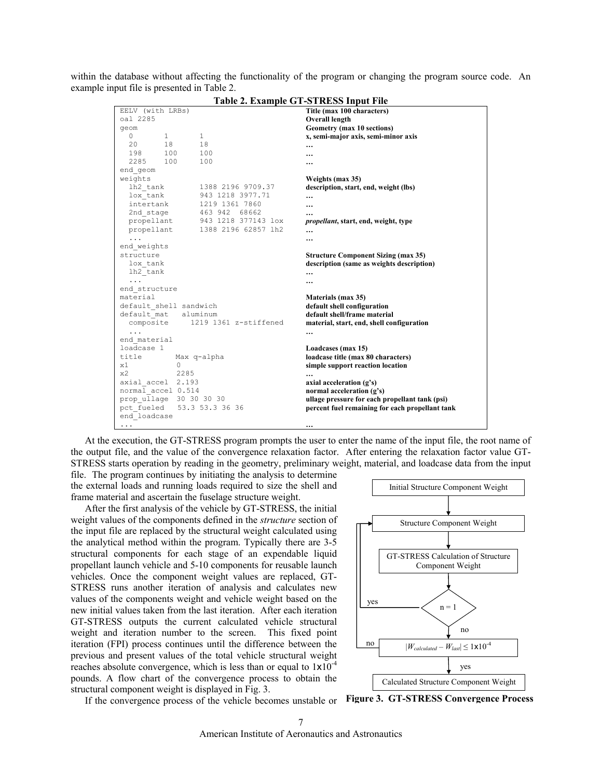within the database without affecting the functionality of the program or changing the program source code. An example input file is presented in Table 2.

|                                                       |                                 | Table 2. Example GT-STRESS Input File           |
|-------------------------------------------------------|---------------------------------|-------------------------------------------------|
| EELV (with LRBs)                                      |                                 | Title (max 100 characters)                      |
| oal 2285                                              |                                 | Overall length                                  |
| geom                                                  |                                 | Geometry (max 10 sections)                      |
| $\circ$<br>1                                          | $\mathbf{1}$                    | x, semi-major axis, semi-minor axis             |
| 20<br>18                                              | 18                              |                                                 |
| 100<br>198                                            | 100                             |                                                 |
| 2285<br>100                                           | 100                             |                                                 |
| end geom                                              |                                 |                                                 |
| weights                                               |                                 | Weights (max 35)                                |
| lh2 tank                                              | 1388 2196 9709.37               | description, start, end, weight (lbs)           |
| lox tank                                              | 943 1218 3977.71                |                                                 |
| intertank                                             | 1219 1361 7860                  |                                                 |
| 2nd stage                                             | 463 942 68662                   |                                                 |
| propellant                                            | 943 1218 377143 lox             | <i>propellant</i> , start, end, weight, type    |
| propellant                                            | 1388 2196 62857 lh2             |                                                 |
| $\cdots$                                              |                                 |                                                 |
| end weights                                           |                                 |                                                 |
| structure                                             |                                 | <b>Structure Component Sizing (max 35)</b>      |
| lox tank                                              |                                 | description (same as weights description)       |
| lh2 tank                                              |                                 |                                                 |
| $\cdots$                                              |                                 |                                                 |
| end structure                                         |                                 |                                                 |
| material                                              |                                 | Materials (max 35)                              |
| default shell sandwich                                |                                 | default shell configuration                     |
| default mat aluminum                                  |                                 | default shell/frame material                    |
|                                                       | composite 1219 1361 z-stiffened | material, start, end, shell configuration       |
| $\cdots$                                              |                                 | $\cdots$                                        |
| end material                                          |                                 |                                                 |
| loadcase 1                                            |                                 | Loadcases (max 15)                              |
| title                                                 | Max q-alpha                     | loadcase title (max 80 characters)              |
| x1<br>$\Omega$                                        |                                 | simple support reaction location                |
| x2<br>2285                                            |                                 |                                                 |
| axial accel 2.193                                     |                                 | axial acceleration $(g's)$                      |
| normal accel 0.514                                    |                                 | normal acceleration $(g's)$                     |
| prop ullage 30 30 30 30<br>pct fueled 53.3 53.3 36 36 |                                 | ullage pressure for each propellant tank (psi)  |
| end loadcase                                          |                                 | percent fuel remaining for each propellant tank |
|                                                       |                                 |                                                 |
| $\cdots$                                              |                                 | $\cdots$                                        |

At the execution, the GT-STRESS program prompts the user to enter the name of the input file, the root name of the output file, and the value of the convergence relaxation factor. After entering the relaxation factor value GT-STRESS starts operation by reading in the geometry, preliminary weight, material, and loadcase data from the input

file. The program continues by initiating the analysis to determine the external loads and running loads required to size the shell and frame material and ascertain the fuselage structure weight.

After the first analysis of the vehicle by GT-STRESS, the initial weight values of the components defined in the *structure* section of the input file are replaced by the structural weight calculated using the analytical method within the program. Typically there are 3-5 structural components for each stage of an expendable liquid propellant launch vehicle and 5-10 components for reusable launch vehicles. Once the component weight values are replaced, GT-STRESS runs another iteration of analysis and calculates new values of the components weight and vehicle weight based on the new initial values taken from the last iteration. After each iteration GT-STRESS outputs the current calculated vehicle structural weight and iteration number to the screen. This fixed point iteration (FPI) process continues until the difference between the previous and present values of the total vehicle structural weight reaches absolute convergence, which is less than or equal to  $1 \times 10^{-4}$ pounds. A flow chart of the convergence process to obtain the structural component weight is displayed in Fig. 3.



If the convergence process of the vehicle becomes unstable or

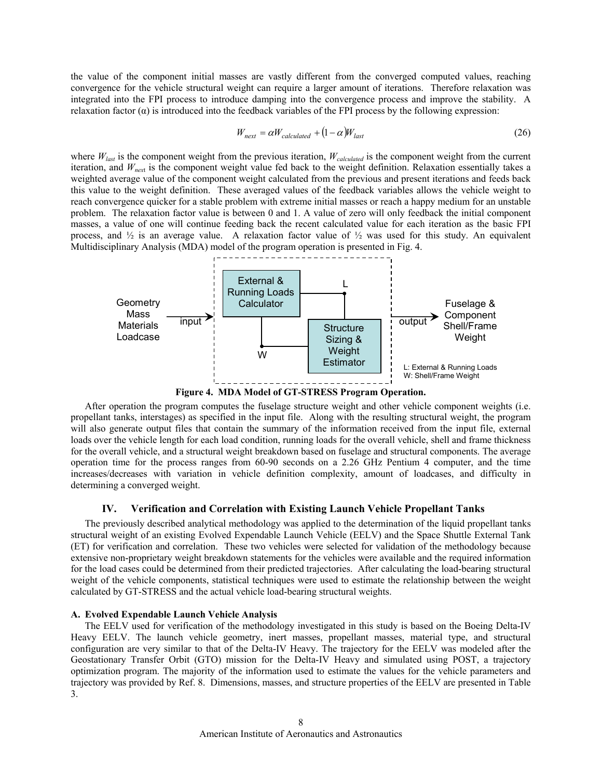the value of the component initial masses are vastly different from the converged computed values, reaching convergence for the vehicle structural weight can require a larger amount of iterations. Therefore relaxation was integrated into the FPI process to introduce damping into the convergence process and improve the stability. A relaxation factor  $(\alpha)$  is introduced into the feedback variables of the FPI process by the following expression:

$$
W_{next} = \alpha W_{calculated} + (1 - \alpha) W_{last} \tag{26}
$$

where  $W_{last}$  is the component weight from the previous iteration,  $W_{calculated}$  is the component weight from the current iteration, and *Wnex*t is the component weight value fed back to the weight definition. Relaxation essentially takes a weighted average value of the component weight calculated from the previous and present iterations and feeds back this value to the weight definition. These averaged values of the feedback variables allows the vehicle weight to reach convergence quicker for a stable problem with extreme initial masses or reach a happy medium for an unstable problem. The relaxation factor value is between 0 and 1. A value of zero will only feedback the initial component masses, a value of one will continue feeding back the recent calculated value for each iteration as the basic FPI process, and  $\frac{1}{2}$  is an average value. A relaxation factor value of  $\frac{1}{2}$  was used for this study. An equivalent Multidisciplinary Analysis (MDA) model of the program operation is presented in Fig. 4.



**Figure 4. MDA Model of GT-STRESS Program Operation.** 

After operation the program computes the fuselage structure weight and other vehicle component weights (i.e. propellant tanks, interstages) as specified in the input file. Along with the resulting structural weight, the program will also generate output files that contain the summary of the information received from the input file, external loads over the vehicle length for each load condition, running loads for the overall vehicle, shell and frame thickness for the overall vehicle, and a structural weight breakdown based on fuselage and structural components. The average operation time for the process ranges from 60-90 seconds on a 2.26 GHz Pentium 4 computer, and the time increases/decreases with variation in vehicle definition complexity, amount of loadcases, and difficulty in determining a converged weight.

# **IV. Verification and Correlation with Existing Launch Vehicle Propellant Tanks**

The previously described analytical methodology was applied to the determination of the liquid propellant tanks structural weight of an existing Evolved Expendable Launch Vehicle (EELV) and the Space Shuttle External Tank (ET) for verification and correlation. These two vehicles were selected for validation of the methodology because extensive non-proprietary weight breakdown statements for the vehicles were available and the required information for the load cases could be determined from their predicted trajectories. After calculating the load-bearing structural weight of the vehicle components, statistical techniques were used to estimate the relationship between the weight calculated by GT-STRESS and the actual vehicle load-bearing structural weights.

#### **A. Evolved Expendable Launch Vehicle Analysis**

The EELV used for verification of the methodology investigated in this study is based on the Boeing Delta-IV Heavy EELV. The launch vehicle geometry, inert masses, propellant masses, material type, and structural configuration are very similar to that of the Delta-IV Heavy. The trajectory for the EELV was modeled after the Geostationary Transfer Orbit (GTO) mission for the Delta-IV Heavy and simulated using POST, a trajectory optimization program. The majority of the information used to estimate the values for the vehicle parameters and trajectory was provided by Ref. 8. Dimensions, masses, and structure properties of the EELV are presented in Table 3.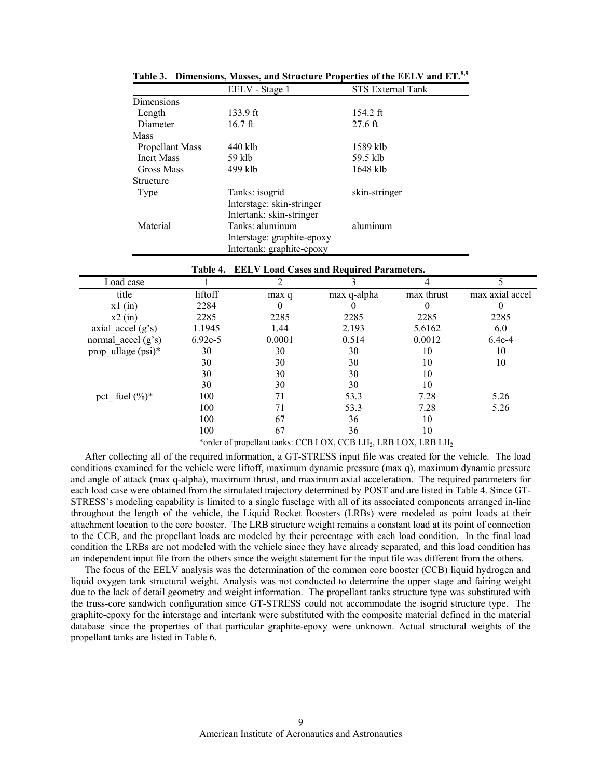|                   | EELV - Stage 1             | STS External Tank  |
|-------------------|----------------------------|--------------------|
| Dimensions        |                            |                    |
| Length            | 133.9 ft                   | $154.2 \text{ ft}$ |
| Diameter          | $16.7 \text{ ft}$          | $27.6$ ft          |
| <b>Mass</b>       |                            |                    |
| Propellant Mass   | 440 klb                    | 1589 klb           |
| <b>Inert Mass</b> | 59 klb                     | 59.5 klb           |
| <b>Gross Mass</b> | 499 klb                    | 1648 klb           |
| Structure         |                            |                    |
| Type              | Tanks: isogrid             | skin-stringer      |
|                   | Interstage: skin-stringer  |                    |
|                   | Intertank: skin-stringer   |                    |
| Material          | Tanks: aluminum            | aluminum           |
|                   | Interstage: graphite-epoxy |                    |
|                   | Intertank: graphite-epoxy  |                    |

**Table 3. Dimensions, Masses, and Structure Properties of the EELV and ET.8,9**

|  | Table 4. EELV Load Cases and Required Parameters. |  |
|--|---------------------------------------------------|--|
|  |                                                   |  |
|  |                                                   |  |

| Load case                |           | ∍      |             |                  |                 |
|--------------------------|-----------|--------|-------------|------------------|-----------------|
| title                    | liftoff   | max q  | max q-alpha | max thrust       | max axial accel |
| $x1$ (in)                | 2284      | 0      |             | $\left( \right)$ | $\theta$        |
| x2(in)                   | 2285      | 2285   | 2285        | 2285             | 2285            |
| axial accel $(g's)$      | 1.1945    | 1.44   | 2.193       | 5.6162           | 6.0             |
| normal $accel$ ( $g$ 's) | $6.92e-5$ | 0.0001 | 0.514       | 0.0012           | $6.4e-4$        |
| prop_ullage (psi)*       | 30        | 30     | 30          | 10               | 10              |
|                          | 30        | 30     | 30          | 10               | 10              |
|                          | 30        | 30     | 30          | 10               |                 |
|                          | 30        | 30     | 30          | 10               |                 |
| pct_fuel $(\%)^*$        | 100       | 71     | 53.3        | 7.28             | 5.26            |
|                          | 100       | 71     | 53.3        | 7.28             | 5.26            |
|                          | 100       | 67     | 36          | 10               |                 |
|                          | 100       | 67     | 36          | 10               |                 |

\*order of propellant tanks: CCB LOX, CCB LH2, LRB LOX, LRB LH2

After collecting all of the required information, a GT-STRESS input file was created for the vehicle. The load conditions examined for the vehicle were liftoff, maximum dynamic pressure (max q), maximum dynamic pressure and angle of attack (max q-alpha), maximum thrust, and maximum axial acceleration. The required parameters for each load case were obtained from the simulated trajectory determined by POST and are listed in Table 4. Since GT-STRESS's modeling capability is limited to a single fuselage with all of its associated components arranged in-line throughout the length of the vehicle, the Liquid Rocket Boosters (LRBs) were modeled as point loads at their attachment location to the core booster. The LRB structure weight remains a constant load at its point of connection to the CCB, and the propellant loads are modeled by their percentage with each load condition. In the final load condition the LRBs are not modeled with the vehicle since they have already separated, and this load condition has an independent input file from the others since the weight statement for the input file was different from the others.

The focus of the EELV analysis was the determination of the common core booster (CCB) liquid hydrogen and liquid oxygen tank structural weight. Analysis was not conducted to determine the upper stage and fairing weight due to the lack of detail geometry and weight information. The propellant tanks structure type was substituted with the truss-core sandwich configuration since GT-STRESS could not accommodate the isogrid structure type. The graphite-epoxy for the interstage and intertank were substituted with the composite material defined in the material database since the properties of that particular graphite-epoxy were unknown. Actual structural weights of the propellant tanks are listed in Table 6.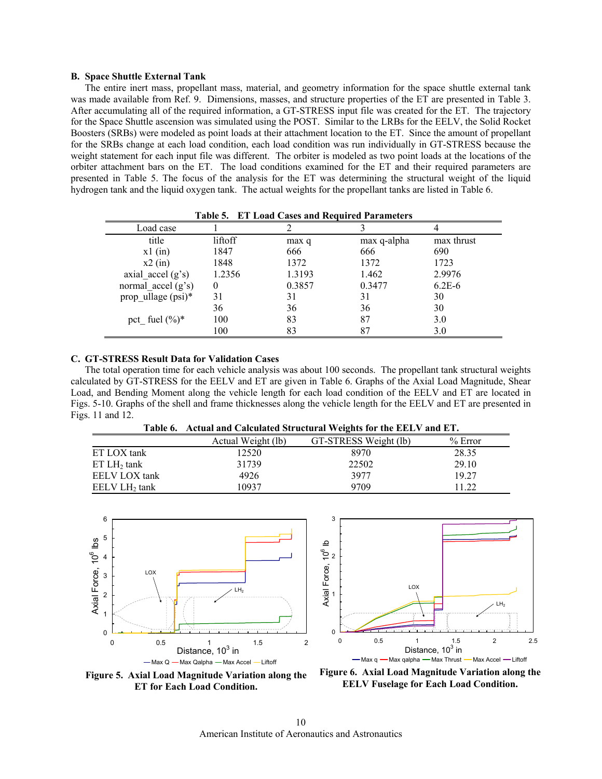## **B. Space Shuttle External Tank**

The entire inert mass, propellant mass, material, and geometry information for the space shuttle external tank was made available from Ref. 9. Dimensions, masses, and structure properties of the ET are presented in Table 3. After accumulating all of the required information, a GT-STRESS input file was created for the ET. The trajectory for the Space Shuttle ascension was simulated using the POST. Similar to the LRBs for the EELV, the Solid Rocket Boosters (SRBs) were modeled as point loads at their attachment location to the ET. Since the amount of propellant for the SRBs change at each load condition, each load condition was run individually in GT-STRESS because the weight statement for each input file was different. The orbiter is modeled as two point loads at the locations of the orbiter attachment bars on the ET. The load conditions examined for the ET and their required parameters are presented in Table 5. The focus of the analysis for the ET was determining the structural weight of the liquid hydrogen tank and the liquid oxygen tank. The actual weights for the propellant tanks are listed in Table 6.

| $\cdots \cdots$<br>пт пода сазез ана тедан са танашелет |        |             |            |  |
|---------------------------------------------------------|--------|-------------|------------|--|
|                                                         |        |             |            |  |
| liftoff                                                 | max q  | max q-alpha | max thrust |  |
| 1847                                                    | 666    | 666         | 690        |  |
| 1848                                                    | 1372   | 1372        | 1723       |  |
| 1.2356                                                  | 1.3193 | 1.462       | 2.9976     |  |
|                                                         | 0.3857 | 0.3477      | $6.2E-6$   |  |
| 31                                                      | 31     | 31          | 30         |  |
| 36                                                      | 36     | 36          | 30         |  |
| 100                                                     | 83     | 87          | 3.0        |  |
| 100                                                     | 83     |             | 3.0        |  |
|                                                         |        |             |            |  |

**Table 5. ET Load Cases and Required Parameters** 

## **C. GT-STRESS Result Data for Validation Cases**

 The total operation time for each vehicle analysis was about 100 seconds. The propellant tank structural weights calculated by GT-STRESS for the EELV and ET are given in Table 6. Graphs of the Axial Load Magnitude, Shear Load, and Bending Moment along the vehicle length for each load condition of the EELV and ET are located in Figs. 5-10. Graphs of the shell and frame thicknesses along the vehicle length for the EELV and ET are presented in Figs. 11 and 12.

| Table 6. Actual and Calculated Structural Weights for the EELV and ET. |                    |                       |           |  |  |
|------------------------------------------------------------------------|--------------------|-----------------------|-----------|--|--|
|                                                                        | Actual Weight (lb) | GT-STRESS Weight (lb) | $%$ Error |  |  |
| ET LOX tank                                                            | 12520              | 8970                  | 28.35     |  |  |
| $ET LH2$ tank                                                          | 31739              | 22502                 | 29.10     |  |  |
| <b>EELV LOX</b> tank                                                   | 4926               | 3977                  | 19.27     |  |  |
| $EELV LH2$ tank                                                        | 10937              | 9709                  | 11.22     |  |  |
|                                                                        |                    |                       |           |  |  |





**Figure 5. Axial Load Magnitude Variation along the ET for Each Load Condition.** 

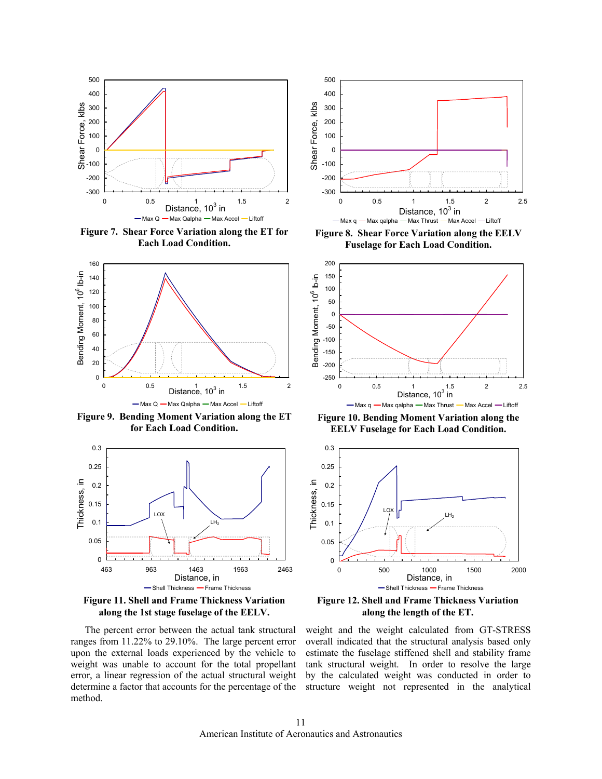

**Figure 7. Shear Force Variation along the ET for Each Load Condition.**



**Figure 9. Bending Moment Variation along the ET for Each Load Condition.** 



**Figure 11. Shell and Frame Thickness Variation along the 1st stage fuselage of the EELV.** 

The percent error between the actual tank structural weight and the weight calculated from GT-STRESS method.



**Figure 8. Shear Force Variation along the EELV Fuselage for Each Load Condition.**



**Figure 10. Bending Moment Variation along the EELV Fuselage for Each Load Condition.** 



**Figure 12. Shell and Frame Thickness Variation along the length of the ET.** 

ranges from 11.22% to 29.10%. The large percent error overall indicated that the structural analysis based only upon the external loads experienced by the vehicle to estimate the fuselage stiffened shell and stability frame weight was unable to account for the total propellant tank structural weight. In order to resolve the large error, a linear regression of the actual structural weight by the calculated weight was conducted in order to determine a factor that accounts for the percentage of the structure weight not represented in the analytical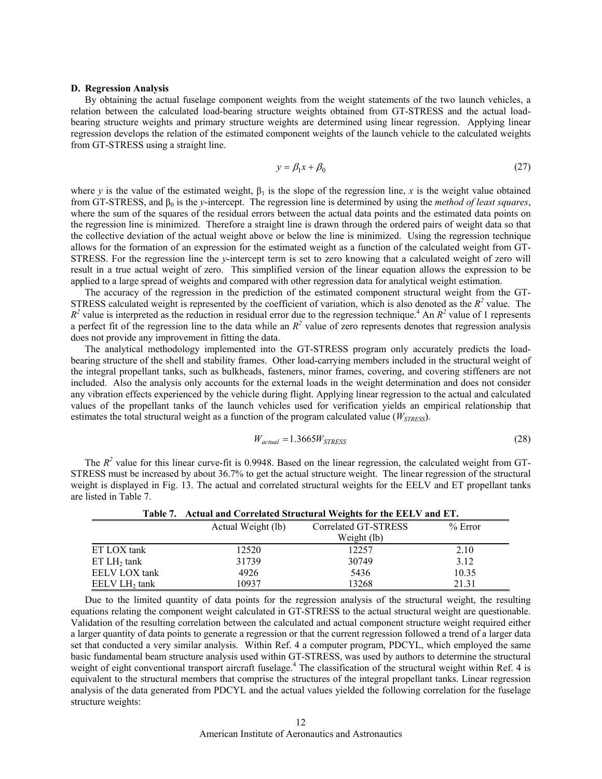#### **D. Regression Analysis**

By obtaining the actual fuselage component weights from the weight statements of the two launch vehicles, a relation between the calculated load-bearing structure weights obtained from GT-STRESS and the actual loadbearing structure weights and primary structure weights are determined using linear regression. Applying linear regression develops the relation of the estimated component weights of the launch vehicle to the calculated weights from GT-STRESS using a straight line.

$$
y = \beta_1 x + \beta_0 \tag{27}
$$

where *y* is the value of the estimated weight,  $\beta_1$  is the slope of the regression line, *x* is the weight value obtained from GT-STRESS, and β0 is the *y*-intercept. The regression line is determined by using the *method of least squares*, where the sum of the squares of the residual errors between the actual data points and the estimated data points on the regression line is minimized. Therefore a straight line is drawn through the ordered pairs of weight data so that the collective deviation of the actual weight above or below the line is minimized. Using the regression technique allows for the formation of an expression for the estimated weight as a function of the calculated weight from GT-STRESS. For the regression line the *y*-intercept term is set to zero knowing that a calculated weight of zero will result in a true actual weight of zero. This simplified version of the linear equation allows the expression to be applied to a large spread of weights and compared with other regression data for analytical weight estimation.

The accuracy of the regression in the prediction of the estimated component structural weight from the GT-STRESS calculated weight is represented by the coefficient of variation, which is also denoted as the  $R^2$  value. The  $R^2$  value is interpreted as the reduction in residual error due to the regression technique.<sup>4</sup> An  $R^2$  value of 1 represents a perfect fit of the regression line to the data while an  $R^2$  value of zero represents denotes that regression analysis does not provide any improvement in fitting the data.

The analytical methodology implemented into the GT-STRESS program only accurately predicts the loadbearing structure of the shell and stability frames. Other load-carrying members included in the structural weight of the integral propellant tanks, such as bulkheads, fasteners, minor frames, covering, and covering stiffeners are not included. Also the analysis only accounts for the external loads in the weight determination and does not consider any vibration effects experienced by the vehicle during flight. Applying linear regression to the actual and calculated values of the propellant tanks of the launch vehicles used for verification yields an empirical relationship that estimates the total structural weight as a function of the program calculated value ( $W_{STRES}$ ).

$$
W_{actual} = 1.3665 W_{STRESS} \tag{28}
$$

The  $R<sup>2</sup>$  value for this linear curve-fit is 0.9948. Based on the linear regression, the calculated weight from GT-STRESS must be increased by about 36.7% to get the actual structure weight. The linear regression of the structural weight is displayed in Fig. 13. The actual and correlated structural weights for the EELV and ET propellant tanks are listed in Table 7.

|                  | Actual Weight (lb) | Correlated GT-STRESS | $%$ Error |
|------------------|--------------------|----------------------|-----------|
|                  |                    | Weight (lb)          |           |
| ET LOX tank      | 12520              | 12257                | 2.10      |
| $ET LH2$ tank    | 31739              | 30749                | 3.12      |
| EELV LOX tank    | 4926               | 5436                 | 10.35     |
| EELV $LH_2$ tank | 10937              | 13268                | 21.31     |

**Table 7. Actual and Correlated Structural Weights for the EELV and ET.** 

Due to the limited quantity of data points for the regression analysis of the structural weight, the resulting equations relating the component weight calculated in GT-STRESS to the actual structural weight are questionable. Validation of the resulting correlation between the calculated and actual component structure weight required either a larger quantity of data points to generate a regression or that the current regression followed a trend of a larger data set that conducted a very similar analysis. Within Ref. 4 a computer program, PDCYL, which employed the same basic fundamental beam structure analysis used within GT-STRESS, was used by authors to determine the structural weight of eight conventional transport aircraft fuselage.<sup>4</sup> The classification of the structural weight within Ref. 4 is equivalent to the structural members that comprise the structures of the integral propellant tanks. Linear regression analysis of the data generated from PDCYL and the actual values yielded the following correlation for the fuselage structure weights: